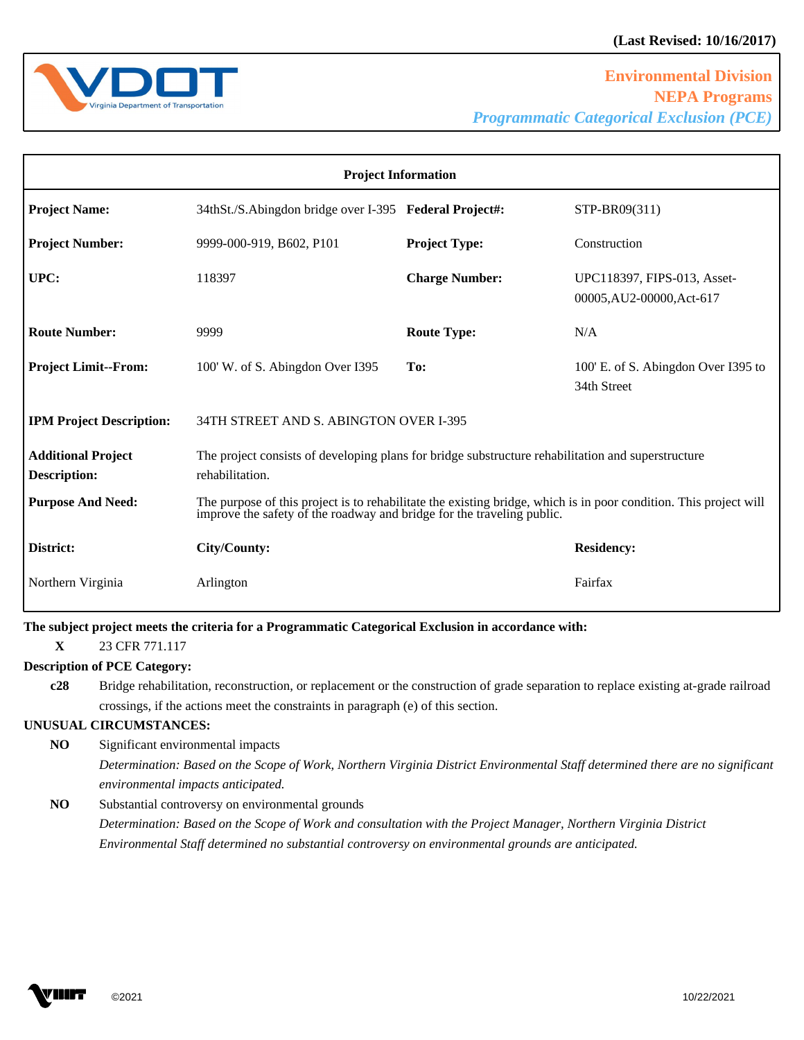

| <b>Project Information</b>                       |                                                                                                                                                                                             |                       |                                                          |
|--------------------------------------------------|---------------------------------------------------------------------------------------------------------------------------------------------------------------------------------------------|-----------------------|----------------------------------------------------------|
| <b>Project Name:</b>                             | 34thSt./S.Abingdon bridge over I-395 Federal Project#:                                                                                                                                      |                       | STP-BR09(311)                                            |
| <b>Project Number:</b>                           | 9999-000-919, B602, P101                                                                                                                                                                    | <b>Project Type:</b>  | Construction                                             |
| UPC:                                             | 118397                                                                                                                                                                                      | <b>Charge Number:</b> | UPC118397, FIPS-013, Asset-<br>00005, AU2-00000, Act-617 |
| <b>Route Number:</b>                             | 9999                                                                                                                                                                                        | <b>Route Type:</b>    | N/A                                                      |
| <b>Project Limit--From:</b>                      | 100' W. of S. Abingdon Over I395                                                                                                                                                            | To:                   | 100' E. of S. Abingdon Over I395 to<br>34th Street       |
| <b>IPM Project Description:</b>                  | 34TH STREET AND S. ABINGTON OVER I-395                                                                                                                                                      |                       |                                                          |
| <b>Additional Project</b><br><b>Description:</b> | The project consists of developing plans for bridge substructure rehabilitation and superstructure<br>rehabilitation.                                                                       |                       |                                                          |
| <b>Purpose And Need:</b>                         | The purpose of this project is to rehabilitate the existing bridge, which is in poor condition. This project will<br>improve the safety of the roadway and bridge for the traveling public. |                       |                                                          |
| District:                                        | City/County:                                                                                                                                                                                |                       | <b>Residency:</b>                                        |
| Northern Virginia                                | Arlington                                                                                                                                                                                   |                       | Fairfax                                                  |

**The subject project meets the criteria for a Programmatic Categorical Exclusion in accordance with:** 

**X** 23 CFR 771.117

## **Description of PCE Category:**

**c28** Bridge rehabilitation, reconstruction, or replacement or the construction of grade separation to replace existing at-grade railroad crossings, if the actions meet the constraints in paragraph (e) of this section.

## **UNUSUAL CIRCUMSTANCES:**

**NO** Significant environmental impacts

*Determination: Based on the Scope of Work, Northern Virginia District Environmental Staff determined there are no significant environmental impacts anticipated.* 

## **NO** Substantial controversy on environmental grounds

*Determination: Based on the Scope of Work and consultation with the Project Manager, Northern Virginia District Environmental Staff determined no substantial controversy on environmental grounds are anticipated.* 

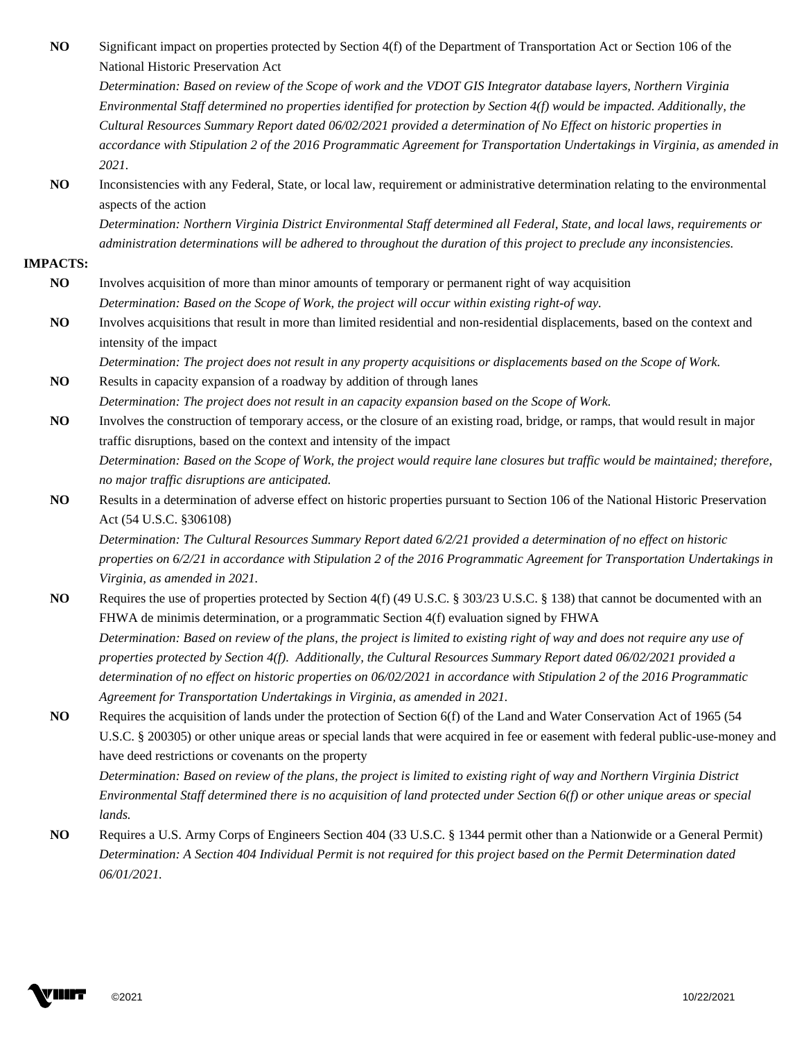| NO              | Significant impact on properties protected by Section 4(f) of the Department of Transportation Act or Section 106 of the<br>National Historic Preservation Act |
|-----------------|----------------------------------------------------------------------------------------------------------------------------------------------------------------|
|                 | Determination: Based on review of the Scope of work and the VDOT GIS Integrator database layers, Northern Virginia                                             |
|                 | Environmental Staff determined no properties identified for protection by Section 4(f) would be impacted. Additionally, the                                    |
|                 | Cultural Resources Summary Report dated 06/02/2021 provided a determination of No Effect on historic properties in                                             |
|                 | accordance with Stipulation 2 of the 2016 Programmatic Agreement for Transportation Undertakings in Virginia, as amended in                                    |
|                 | 2021.                                                                                                                                                          |
| NO              | Inconsistencies with any Federal, State, or local law, requirement or administrative determination relating to the environmental<br>aspects of the action      |
|                 | Determination: Northern Virginia District Environmental Staff determined all Federal, State, and local laws, requirements or                                   |
|                 | administration determinations will be adhered to throughout the duration of this project to preclude any inconsistencies.                                      |
| <b>IMPACTS:</b> |                                                                                                                                                                |
| N <sub>O</sub>  | Involves acquisition of more than minor amounts of temporary or permanent right of way acquisition                                                             |
|                 | Determination: Based on the Scope of Work, the project will occur within existing right-of way.                                                                |
| NO              | Involves acquisitions that result in more than limited residential and non-residential displacements, based on the context and                                 |
|                 | intensity of the impact                                                                                                                                        |
|                 | Determination: The project does not result in any property acquisitions or displacements based on the Scope of Work.                                           |
| N <sub>O</sub>  | Results in capacity expansion of a roadway by addition of through lanes                                                                                        |
|                 | Determination: The project does not result in an capacity expansion based on the Scope of Work.                                                                |
| NO              | Involves the construction of temporary access, or the closure of an existing road, bridge, or ramps, that would result in major                                |
|                 | traffic disruptions, based on the context and intensity of the impact                                                                                          |
|                 | Determination: Based on the Scope of Work, the project would require lane closures but traffic would be maintained; therefore,                                 |
|                 | no major traffic disruptions are anticipated.                                                                                                                  |
| NO              | Results in a determination of adverse effect on historic properties pursuant to Section 106 of the National Historic Preservation                              |
|                 | Act (54 U.S.C. §306108)                                                                                                                                        |
|                 | Determination: The Cultural Resources Summary Report dated 6/2/21 provided a determination of no effect on historic                                            |
|                 | properties on 6/2/21 in accordance with Stipulation 2 of the 2016 Programmatic Agreement for Transportation Undertakings in                                    |
|                 | Virginia, as amended in 2021.                                                                                                                                  |
| N <sub>O</sub>  | Requires the use of properties protected by Section 4(f) (49 U.S.C. § 303/23 U.S.C. § 138) that cannot be documented with an                                   |
|                 | FHWA de minimis determination, or a programmatic Section 4(f) evaluation signed by FHWA                                                                        |
|                 | Determination: Based on review of the plans, the project is limited to existing right of way and does not require any use of                                   |
|                 | properties protected by Section 4(f). Additionally, the Cultural Resources Summary Report dated 06/02/2021 provided a                                          |
|                 | determination of no effect on historic properties on 06/02/2021 in accordance with Stipulation 2 of the 2016 Programmatic                                      |
|                 | Agreement for Transportation Undertakings in Virginia, as amended in 2021.                                                                                     |
| N <sub>O</sub>  | Requires the acquisition of lands under the protection of Section 6(f) of the Land and Water Conservation Act of 1965 (54                                      |
|                 | U.S.C. § 200305) or other unique areas or special lands that were acquired in fee or easement with federal public-use-money and                                |
|                 | have deed restrictions or covenants on the property                                                                                                            |
|                 | Determination: Based on review of the plans, the project is limited to existing right of way and Northern Virginia District                                    |
|                 | Environmental Staff determined there is no acquisition of land protected under Section 6(f) or other unique areas or special                                   |
|                 | lands.                                                                                                                                                         |
| N <sub>O</sub>  | Requires a U.S. Army Corps of Engineers Section 404 (33 U.S.C. § 1344 permit other than a Nationwide or a General Permit)                                      |
|                 | Determination: A Section 404 Individual Permit is not required for this project based on the Permit Determination dated                                        |

VIIIT

*06/01/2021.*